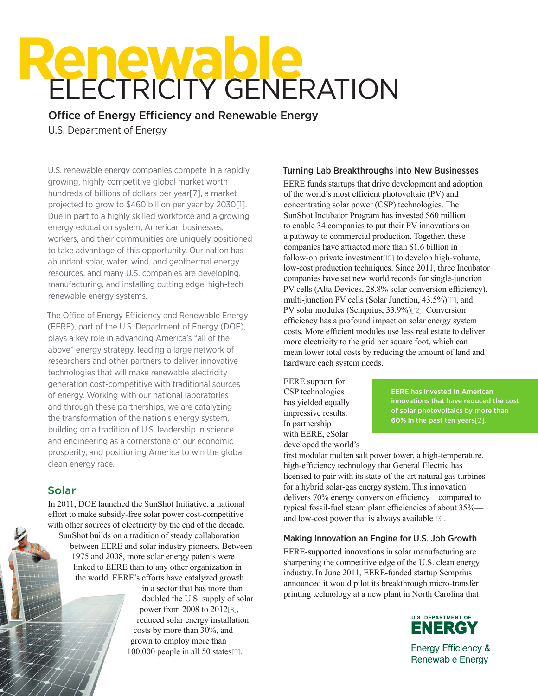# **RENEWAble**<br>ELECTRICITY GENERATION

Office of Energy Efficiency and Renewable Energy U.S. Department of Energy

U.S. renewable energy companies compete in a rapidly growing, highly competitive global market worth hundreds of billions of dollars per year[7], a market projected to grow to \$460 billion per year by 2030[1]. Due in part to a highly skilled workforce and a growing energy education system, American businesses, workers, and their communities are uniquely positioned to take advantage of this opportunity. Our nation has abundant solar, water, wind, and geothermal energy resources, and many U.S. companies are developing, manufacturing, and installing cutting edge, high-tech renewable energy systems.

The Office of Energy Efficiency and Renewable Energy (EERE), part of the U.S. Department of Energy (DOE), plays a key role in advancing America's "all of the above" energy strategy, leading a large network of researchers and other partners to deliver innovative technologies that will make renewable electricity generation cost-competitive with traditional sources of energy. Working with our national laboratories and through these partnerships, we are catalyzing the transformation of the nation's energy system, building on a tradition of U.S. leadership in science and engineering as a cornerstone of our economic prosperity, and positioning America to win the global clean energy race.

# Solar

In 2011, DOE launched the SunShot Initiative, a national effort to make subsidy-free solar power cost-competitive with other sources of electricity by the end of the decade. SunShot builds on a tradition of steady collaboration between EERE and solar industry pioneers. Between 1975 and 2008, more solar energy patents were linked to EERE than to any other organization in the world. EERE's efforts have catalyzed growth

in a sector that has more than doubled the U.S. supply of solar power from 2008 to 2012[8], reduced solar energy installation costs by more than 30%, and grown to employ more than 100,000 people in all 50 states[9].

#### Turning Lab Breakthroughs into New Businesses

EERE funds startups that drive development and adoption of the world's most efficient photovoltaic (PV) and concentrating solar power (CSP) technologies. The SunShot Incubator Program has invested \$60 million to enable 34 companies to put their PV innovations on a pathway to commercial production. Together, these companies have attracted more than \$1.6 billion in follow-on private investment[10] to develop high-volume, low-cost production techniques. Since 2011, three Incubator companies have set new world records for single-junction PV cells (Alta Devices, 28.8% solar conversion efficiency), multi-junction PV cells (Solar Junction, 43.5%)[11], and PV solar modules (Semprius, 33.9%)[12]. Conversion efficiency has a profound impact on solar energy system costs. More efficient modules use less real estate to deliver more electricity to the grid per square foot, which can mean lower total costs by reducing the amount of land and hardware each system needs.

EERE support for CSP technologies has yielded equally impressive results. In partnership with EERE, eSolar developed the world's

EERE has invested in American innovations that have reduced the cost of solar photovoltaics by more than 60% in the past ten years[2].

first modular molten salt power tower, a high-temperature, high-efficiency technology that General Electric has licensed to pair with its state-of-the-art natural gas turbines for a hybrid solar-gas energy system. This innovation delivers 70% energy conversion efficiency—compared to typical fossil-fuel steam plant efficiencies of about 35% and low-cost power that is always available[13].

# Making Innovation an Engine for U.S. Job Growth

EERE-supported innovations in solar manufacturing are sharpening the competitive edge of the U.S. clean energy industry. In June 2011, EERE-funded startup Semprius announced it would pilot its breakthrough micro-transfer printing technology at a new plant in North Carolina that



Energy Efficiency & **Renewable Energy**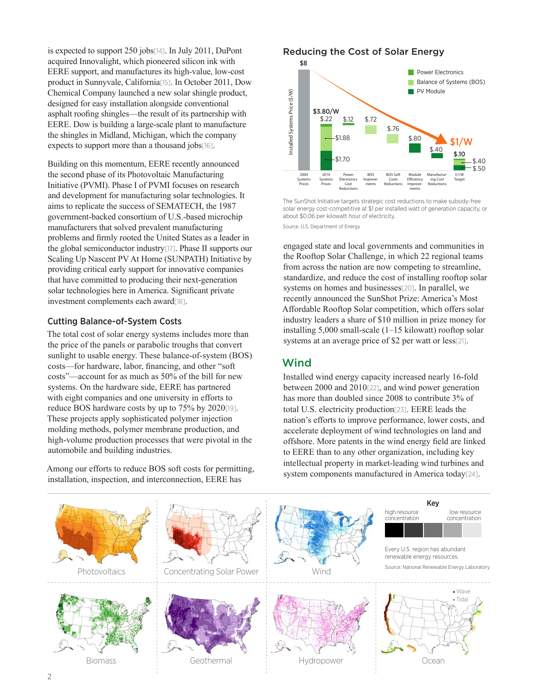is expected to support 250 jobs[14]. In July 2011, DuPont acquired Innovalight, which pioneered silicon ink with EERE support, and manufactures its high-value, low-cost product in Sunnyvale, California[15]. In October 2011, Dow Chemical Company launched a new solar shingle product, designed for easy installation alongside conventional asphalt roofing shingles—the result of its partnership with EERE. Dow is building a large-scale plant to manufacture the shingles in Midland, Michigan, which the company expects to support more than a thousand jobs[16].

Building on this momentum, EERE recently announced the second phase of its Photovoltaic Manufacturing Initiative (PVMI). Phase I of PVMI focuses on research and development for manufacturing solar technologies. It aims to replicate the success of SEMATECH, the 1987 government-backed consortium of U.S.-based microchip manufacturers that solved prevalent manufacturing problems and firmly rooted the United States as a leader in the global semiconductor industry[17]. Phase II supports our Scaling Up Nascent PV At Home (SUNPATH) Initiative by providing critical early support for innovative companies that have committed to producing their next-generation solar technologies here in America. Significant private investment complements each award[18].

# Cutting Balance-of-System Costs

The total cost of solar energy systems includes more than the price of the panels or parabolic troughs that convert sunlight to usable energy. These balance-of-system (BOS) costs—for hardware, labor, financing, and other "soft costs"—account for as much as 50% of the bill for new systems. On the hardware side, EERE has partnered with eight companies and one university in efforts to reduce BOS hardware costs by up to 75% by 2020[19]. These projects apply sophisticated polymer injection molding methods, polymer membrane production, and high-volume production processes that were pivotal in the automobile and building industries.

Among our efforts to reduce BOS soft costs for permitting, installation, inspection, and interconnection, EERE has





The SunShot Initiative targets strategic cost reductions to make subsidy-free solar energy cost-competitive at \$1 per installed watt of generation capacity, or about \$0.06 per kilowatt hour of electricity.

Source: U.S. Department of Energy

engaged state and local governments and communities in the Rooftop Solar Challenge, in which 22 regional teams from across the nation are now competing to streamline, standardize, and reduce the cost of installing rooftop solar systems on homes and businesses<sup>[20]</sup>. In parallel, we recently announced the SunShot Prize: America's Most Affordable Rooftop Solar competition, which offers solar industry leaders a share of \$10 million in prize money for installing 5,000 small-scale (1–15 kilowatt) rooftop solar systems at an average price of \$2 per watt or less[21].

# Wind

Installed wind energy capacity increased nearly 16-fold between 2000 and 2010[22], and wind power generation has more than doubled since 2008 to contribute 3% of total U.S. electricity production[23]. EERE leads the nation's efforts to improve performance, lower costs, and accelerate deployment of wind technologies on land and offshore. More patents in the wind energy field are linked to EERE than to any other organization, including key intellectual property in market-leading wind turbines and system components manufactured in America today[24].

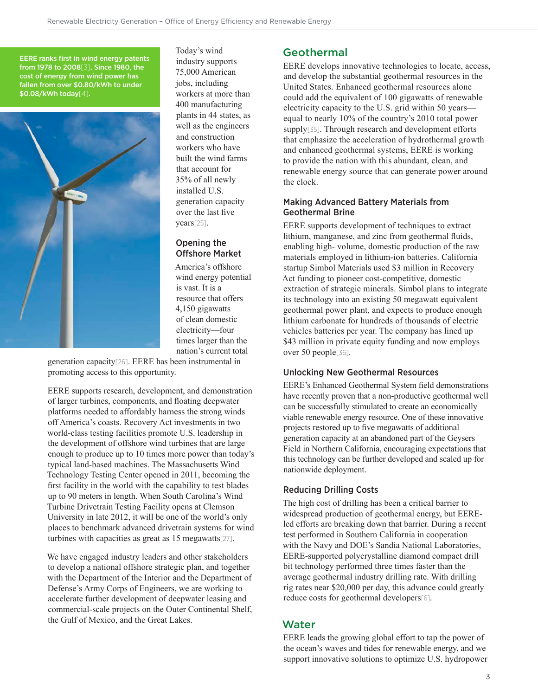EERE ranks first in wind energy patents from 1978 to 2008[3]. Since 1980, the cost of energy from wind power has fallen from over \$0.80/kWh to under \$0.08/kWh today[4].



Today's wind industry supports 75,000 American jobs, including workers at more than 400 manufacturing plants in 44 states, as well as the engineers and construction workers who have built the wind farms that account for 35% of all newly installed U.S. generation capacity over the last five years[25].

# Opening the Offshore Market

America's offshore wind energy potential is vast. It is a resource that offers 4,150 gigawatts of clean domestic electricity—four times larger than the nation's current total

generation capacity[26]. EERE has been instrumental in promoting access to this opportunity.

EERE supports research, development, and demonstration of larger turbines, components, and floating deepwater platforms needed to affordably harness the strong winds off America's coasts. Recovery Act investments in two world-class testing facilities promote U.S. leadership in the development of offshore wind turbines that are large enough to produce up to 10 times more power than today's typical land-based machines. The Massachusetts Wind Technology Testing Center opened in 2011, becoming the first facility in the world with the capability to test blades up to 90 meters in length. When South Carolina's Wind Turbine Drivetrain Testing Facility opens at Clemson University in late 2012, it will be one of the world's only places to benchmark advanced drivetrain systems for wind turbines with capacities as great as 15 megawatts[27].

We have engaged industry leaders and other stakeholders to develop a national offshore strategic plan, and together with the Department of the Interior and the Department of Defense's Army Corps of Engineers, we are working to accelerate further development of deepwater leasing and commercial-scale projects on the Outer Continental Shelf, the Gulf of Mexico, and the Great Lakes.

# **Geothermal**

EERE develops innovative technologies to locate, access, and develop the substantial geothermal resources in the United States. Enhanced geothermal resources alone could add the equivalent of 100 gigawatts of renewable electricity capacity to the U.S. grid within 50 years equal to nearly 10% of the country's 2010 total power supply<sup>[35]</sup>. Through research and development efforts that emphasize the acceleration of hydrothermal growth and enhanced geothermal systems, EERE is working to provide the nation with this abundant, clean, and renewable energy source that can generate power around the clock.

#### Making Advanced Battery Materials from Geothermal Brine

EERE supports development of techniques to extract lithium, manganese, and zinc from geothermal fluids, enabling high- volume, domestic production of the raw materials employed in lithium-ion batteries. California startup Simbol Materials used \$3 million in Recovery Act funding to pioneer cost-competitive, domestic extraction of strategic minerals. Simbol plans to integrate its technology into an existing 50 megawatt equivalent geothermal power plant, and expects to produce enough lithium carbonate for hundreds of thousands of electric vehicles batteries per year. The company has lined up \$43 million in private equity funding and now employs over 50 people[36].

# Unlocking New Geothermal Resources

EERE's Enhanced Geothermal System field demonstrations have recently proven that a non-productive geothermal well can be successfully stimulated to create an economically viable renewable energy resource. One of these innovative projects restored up to five megawatts of additional generation capacity at an abandoned part of the Geysers Field in Northern California, encouraging expectations that this technology can be further developed and scaled up for nationwide deployment.

#### Reducing Drilling Costs

The high cost of drilling has been a critical barrier to widespread production of geothermal energy, but EEREled efforts are breaking down that barrier. During a recent test performed in Southern California in cooperation with the Navy and DOE's Sandia National Laboratories, EERE-supported polycrystalline diamond compact drill bit technology performed three times faster than the average geothermal industry drilling rate. With drilling rig rates near \$20,000 per day, this advance could greatly reduce costs for geothermal developers[6].

# **Water**

EERE leads the growing global effort to tap the power of the ocean's waves and tides for renewable energy, and we support innovative solutions to optimize U.S. hydropower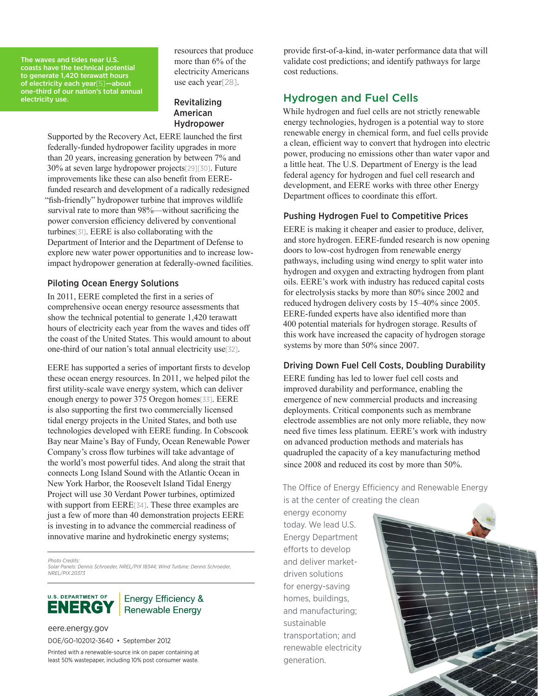The waves and tides near U.S. coasts have the technical potential to generate 1,420 terawatt hours of electricity each year[5]—about one-third of our nation's total annual electricity use.

resources that produce more than 6% of the electricity Americans use each year[28].

# Revitalizing American Hydropower

Supported by the Recovery Act, EERE launched the first federally-funded hydropower facility upgrades in more than 20 years, increasing generation by between 7% and 30% at seven large hydropower projects[29][30]. Future improvements like these can also benefit from EEREfunded research and development of a radically redesigned "fish-friendly" hydropower turbine that improves wildlife survival rate to more than 98%—without sacrificing the power conversion efficiency delivered by conventional turbines[31]. EERE is also collaborating with the Department of Interior and the Department of Defense to explore new water power opportunities and to increase lowimpact hydropower generation at federally-owned facilities.

# Piloting Ocean Energy Solutions

In 2011, EERE completed the first in a series of comprehensive ocean energy resource assessments that show the technical potential to generate 1,420 terawatt hours of electricity each year from the waves and tides off the coast of the United States. This would amount to about one-third of our nation's total annual electricity use[32].

EERE has supported a series of important firsts to develop these ocean energy resources. In 2011, we helped pilot the first utility-scale wave energy system, which can deliver enough energy to power 375 Oregon homes[33]. EERE is also supporting the first two commercially licensed tidal energy projects in the United States, and both use technologies developed with EERE funding. In Cobscook Bay near Maine's Bay of Fundy, Ocean Renewable Power Company's cross flow turbines will take advantage of the world's most powerful tides. And along the strait that connects Long Island Sound with the Atlantic Ocean in New York Harbor, the Roosevelt Island Tidal Energy Project will use 30 Verdant Power turbines, optimized with support from EERE[34]. These three examples are just a few of more than 40 demonstration projects EERE is investing in to advance the commercial readiness of innovative marine and hydrokinetic energy systems;

*Photo Credits: Solar Panels: Dennis Schroeder, NREL/PIX 18344; Wind Turbine: Dennis Schroeder, NREL/PIX 20373*



# **Energy Efficiency &** Renewable Energy

eere.energy.gov DOE/GO-102012-3640 • September 2012

Printed with a renewable-source ink on paper containing at least 50% wastepaper, including 10% post consumer waste. provide first-of-a-kind, in-water performance data that will validate cost predictions; and identify pathways for large cost reductions.

# Hydrogen and Fuel Cells

While hydrogen and fuel cells are not strictly renewable energy technologies, hydrogen is a potential way to store renewable energy in chemical form, and fuel cells provide a clean, efficient way to convert that hydrogen into electric power, producing no emissions other than water vapor and a little heat. The U.S. Department of Energy is the lead federal agency for hydrogen and fuel cell research and development, and EERE works with three other Energy Department offices to coordinate this effort.

#### Pushing Hydrogen Fuel to Competitive Prices

EERE is making it cheaper and easier to produce, deliver, and store hydrogen. EERE-funded research is now opening doors to low-cost hydrogen from renewable energy pathways, including using wind energy to split water into hydrogen and oxygen and extracting hydrogen from plant oils. EERE's work with industry has reduced capital costs for electrolysis stacks by more than 80% since 2002 and reduced hydrogen delivery costs by 15–40% since 2005. EERE-funded experts have also identified more than 400 potential materials for hydrogen storage. Results of this work have increased the capacity of hydrogen storage systems by more than 50% since 2007.

#### Driving Down Fuel Cell Costs, Doubling Durability

EERE funding has led to lower fuel cell costs and improved durability and performance, enabling the emergence of new commercial products and increasing deployments. Critical components such as membrane electrode assemblies are not only more reliable, they now need five times less platinum. EERE's work with industry on advanced production methods and materials has quadrupled the capacity of a key manufacturing method since 2008 and reduced its cost by more than 50%.

The Office of Energy Efficiency and Renewable Energy is at the center of creating the clean

energy economy today. We lead U.S. Energy Department efforts to develop and deliver marketdriven solutions for energy-saving homes, buildings, and manufacturing; sustainable transportation; and renewable electricity generation.